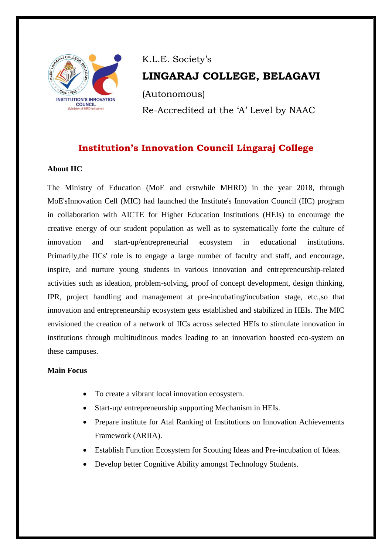

# K.L.E. Society's **LINGARAJ COLLEGE, BELAGAVI** (Autonomous) Re-Accredited at the 'A' Level by NAAC

# **Institution's Innovation Council Lingaraj College**

## **About IIC**

The Ministry of Education (MoE and erstwhile MHRD) in the year 2018, through MoE'sInnovation Cell (MIC) had launched the Institute's Innovation Council (IIC) program in collaboration with AICTE for Higher Education Institutions (HEIs) to encourage the creative energy of our student population as well as to systematically forte the culture of innovation and start-up/entrepreneurial ecosystem in educational institutions. Primarily,the IICs' role is to engage a large number of faculty and staff, and encourage, inspire, and nurture young students in various innovation and entrepreneurship-related activities such as ideation, problem-solving, proof of concept development, design thinking, IPR, project handling and management at pre-incubating/incubation stage, etc.,so that innovation and entrepreneurship ecosystem gets established and stabilized in HEIs. The MIC envisioned the creation of a network of IICs across selected HEIs to stimulate innovation in institutions through multitudinous modes leading to an innovation boosted eco-system on these campuses.

#### **Main Focus**

- To create a vibrant local innovation ecosystem.
- Start-up/ entrepreneurship supporting Mechanism in HEIs.
- Prepare institute for Atal Ranking of Institutions on Innovation Achievements Framework (ARIIA).
- Establish Function Ecosystem for Scouting Ideas and Pre-incubation of Ideas.
- Develop better Cognitive Ability amongst Technology Students.